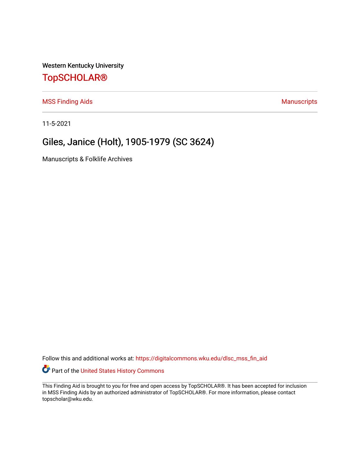Western Kentucky University

## [TopSCHOLAR®](https://digitalcommons.wku.edu/)

[MSS Finding Aids](https://digitalcommons.wku.edu/dlsc_mss_fin_aid) **MSS** Finding Aids **Manuscripts** Manuscripts

11-5-2021

# Giles, Janice (Holt), 1905-1979 (SC 3624)

Manuscripts & Folklife Archives

Follow this and additional works at: [https://digitalcommons.wku.edu/dlsc\\_mss\\_fin\\_aid](https://digitalcommons.wku.edu/dlsc_mss_fin_aid?utm_source=digitalcommons.wku.edu%2Fdlsc_mss_fin_aid%2F4984&utm_medium=PDF&utm_campaign=PDFCoverPages) 

Part of the [United States History Commons](http://network.bepress.com/hgg/discipline/495?utm_source=digitalcommons.wku.edu%2Fdlsc_mss_fin_aid%2F4984&utm_medium=PDF&utm_campaign=PDFCoverPages) 

This Finding Aid is brought to you for free and open access by TopSCHOLAR®. It has been accepted for inclusion in MSS Finding Aids by an authorized administrator of TopSCHOLAR®. For more information, please contact topscholar@wku.edu.